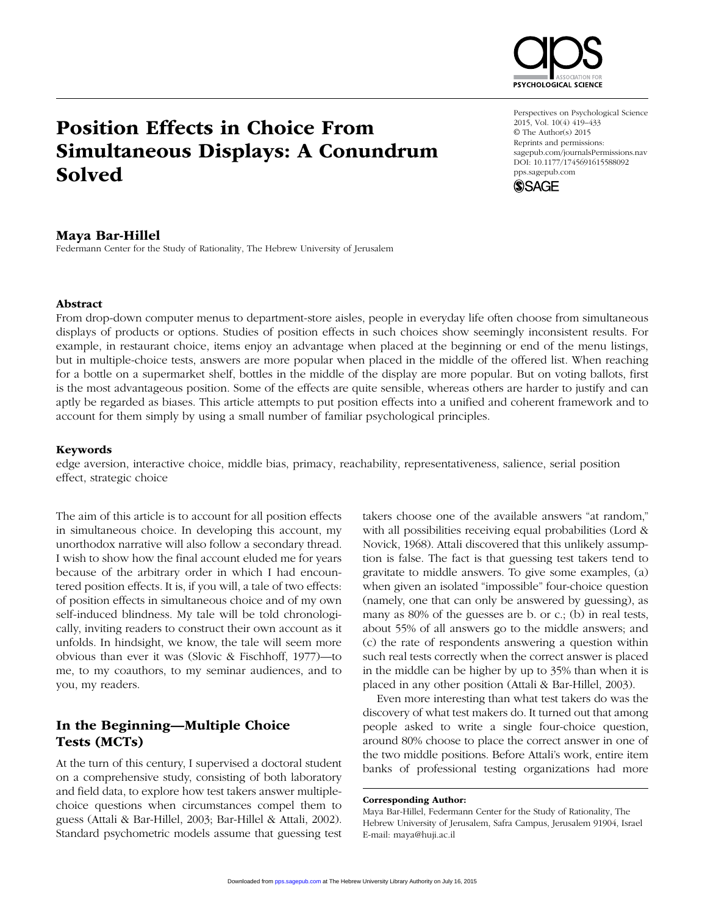# SYCHOLOGICAL SCIENC

## Position Effects in Choice From Simultaneous Displays: A Conundrum Solved

Perspectives on Psychological Science 2015, Vol. 10(4) 419–433 © The Author(s) 2015 Reprints and permissions: sagepub.com/journalsPermissions.nav DOI: 10.1177/1745691615588092 pps.sagepub.com



## Maya Bar-Hillel

Federmann Center for the Study of Rationality, The Hebrew University of Jerusalem

#### Abstract

From drop-down computer menus to department-store aisles, people in everyday life often choose from simultaneous displays of products or options. Studies of position effects in such choices show seemingly inconsistent results. For example, in restaurant choice, items enjoy an advantage when placed at the beginning or end of the menu listings, but in multiple-choice tests, answers are more popular when placed in the middle of the offered list. When reaching for a bottle on a supermarket shelf, bottles in the middle of the display are more popular. But on voting ballots, first is the most advantageous position. Some of the effects are quite sensible, whereas others are harder to justify and can aptly be regarded as biases. This article attempts to put position effects into a unified and coherent framework and to account for them simply by using a small number of familiar psychological principles.

#### Keywords

edge aversion, interactive choice, middle bias, primacy, reachability, representativeness, salience, serial position effect, strategic choice

The aim of this article is to account for all position effects in simultaneous choice. In developing this account, my unorthodox narrative will also follow a secondary thread. I wish to show how the final account eluded me for years because of the arbitrary order in which I had encountered position effects. It is, if you will, a tale of two effects: of position effects in simultaneous choice and of my own self-induced blindness. My tale will be told chronologically, inviting readers to construct their own account as it unfolds. In hindsight, we know, the tale will seem more obvious than ever it was (Slovic & Fischhoff, 1977)—to me, to my coauthors, to my seminar audiences, and to you, my readers.

## In the Beginning—Multiple Choice Tests (MCTs)

At the turn of this century, I supervised a doctoral student on a comprehensive study, consisting of both laboratory and field data, to explore how test takers answer multiplechoice questions when circumstances compel them to guess (Attali & Bar-Hillel, 2003; Bar-Hillel & Attali, 2002). Standard psychometric models assume that guessing test

takers choose one of the available answers "at random," with all possibilities receiving equal probabilities (Lord & Novick, 1968). Attali discovered that this unlikely assumption is false. The fact is that guessing test takers tend to gravitate to middle answers. To give some examples, (a) when given an isolated "impossible" four-choice question (namely, one that can only be answered by guessing), as many as 80% of the guesses are b. or c.; (b) in real tests, about 55% of all answers go to the middle answers; and (c) the rate of respondents answering a question within such real tests correctly when the correct answer is placed in the middle can be higher by up to 35% than when it is placed in any other position (Attali & Bar-Hillel, 2003).

Even more interesting than what test takers do was the discovery of what test makers do. It turned out that among people asked to write a single four-choice question, around 80% choose to place the correct answer in one of the two middle positions. Before Attali's work, entire item banks of professional testing organizations had more

Corresponding Author:

Maya Bar-Hillel, Federmann Center for the Study of Rationality, The Hebrew University of Jerusalem, Safra Campus, Jerusalem 91904, Israel E-mail: maya@huji.ac.il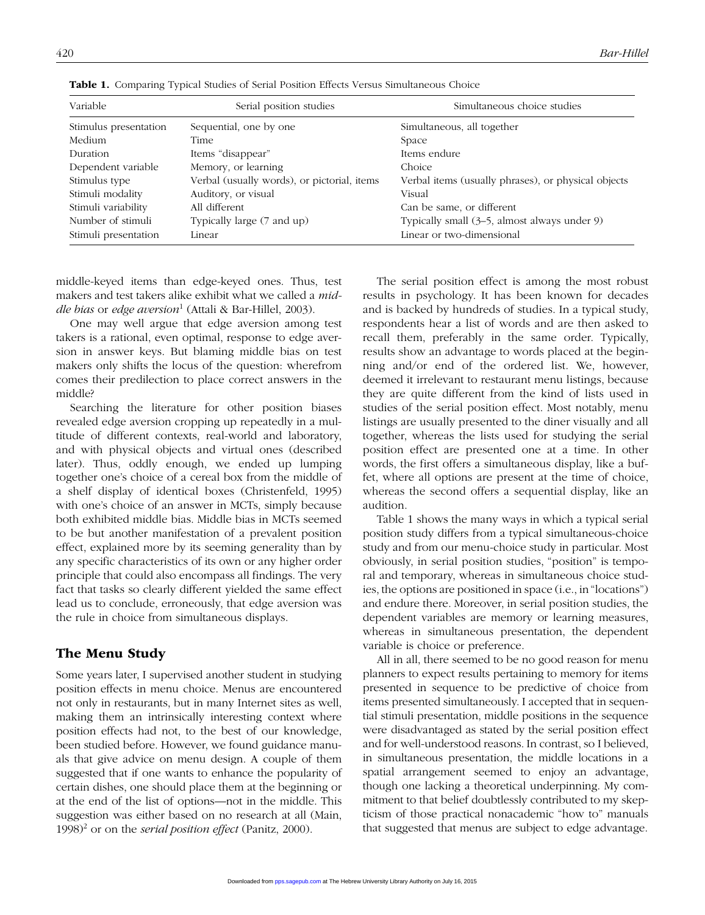| Variable              | Serial position studies                     | Simultaneous choice studies                         |  |  |  |  |
|-----------------------|---------------------------------------------|-----------------------------------------------------|--|--|--|--|
| Stimulus presentation | Sequential, one by one                      | Simultaneous, all together                          |  |  |  |  |
| Medium                | Time                                        | Space                                               |  |  |  |  |
| Duration              | Items "disappear"                           | Items endure                                        |  |  |  |  |
| Dependent variable    | Memory, or learning                         | Choice                                              |  |  |  |  |
| Stimulus type         | Verbal (usually words), or pictorial, items | Verbal items (usually phrases), or physical objects |  |  |  |  |
| Stimuli modality      | Auditory, or visual                         | Visual                                              |  |  |  |  |
| Stimuli variability   | All different                               | Can be same, or different                           |  |  |  |  |
| Number of stimuli     | Typically large (7 and up)                  | Typically small (3-5, almost always under 9)        |  |  |  |  |
| Stimuli presentation  | Linear                                      | Linear or two-dimensional                           |  |  |  |  |

Table 1. Comparing Typical Studies of Serial Position Effects Versus Simultaneous Choice

middle-keyed items than edge-keyed ones. Thus, test makers and test takers alike exhibit what we called a *middle bias* or *edge aversion*<sup>1</sup> (Attali & Bar-Hillel, 2003).

One may well argue that edge aversion among test takers is a rational, even optimal, response to edge aversion in answer keys. But blaming middle bias on test makers only shifts the locus of the question: wherefrom comes their predilection to place correct answers in the middle?

Searching the literature for other position biases revealed edge aversion cropping up repeatedly in a multitude of different contexts, real-world and laboratory, and with physical objects and virtual ones (described later). Thus, oddly enough, we ended up lumping together one's choice of a cereal box from the middle of a shelf display of identical boxes (Christenfeld, 1995) with one's choice of an answer in MCTs, simply because both exhibited middle bias. Middle bias in MCTs seemed to be but another manifestation of a prevalent position effect, explained more by its seeming generality than by any specific characteristics of its own or any higher order principle that could also encompass all findings. The very fact that tasks so clearly different yielded the same effect lead us to conclude, erroneously, that edge aversion was the rule in choice from simultaneous displays.

## The Menu Study

Some years later, I supervised another student in studying position effects in menu choice. Menus are encountered not only in restaurants, but in many Internet sites as well, making them an intrinsically interesting context where position effects had not, to the best of our knowledge, been studied before. However, we found guidance manuals that give advice on menu design. A couple of them suggested that if one wants to enhance the popularity of certain dishes, one should place them at the beginning or at the end of the list of options—not in the middle. This suggestion was either based on no research at all (Main, 1998)2 or on the *serial position effect* (Panitz, 2000).

The serial position effect is among the most robust results in psychology. It has been known for decades and is backed by hundreds of studies. In a typical study, respondents hear a list of words and are then asked to recall them, preferably in the same order. Typically, results show an advantage to words placed at the beginning and/or end of the ordered list. We, however, deemed it irrelevant to restaurant menu listings, because they are quite different from the kind of lists used in studies of the serial position effect. Most notably, menu listings are usually presented to the diner visually and all together, whereas the lists used for studying the serial position effect are presented one at a time. In other words, the first offers a simultaneous display, like a buffet, where all options are present at the time of choice, whereas the second offers a sequential display, like an audition.

Table 1 shows the many ways in which a typical serial position study differs from a typical simultaneous-choice study and from our menu-choice study in particular. Most obviously, in serial position studies, "position" is temporal and temporary, whereas in simultaneous choice studies, the options are positioned in space (i.e., in "locations") and endure there. Moreover, in serial position studies, the dependent variables are memory or learning measures, whereas in simultaneous presentation, the dependent variable is choice or preference.

All in all, there seemed to be no good reason for menu planners to expect results pertaining to memory for items presented in sequence to be predictive of choice from items presented simultaneously. I accepted that in sequential stimuli presentation, middle positions in the sequence were disadvantaged as stated by the serial position effect and for well-understood reasons. In contrast, so I believed, in simultaneous presentation, the middle locations in a spatial arrangement seemed to enjoy an advantage, though one lacking a theoretical underpinning. My commitment to that belief doubtlessly contributed to my skepticism of those practical nonacademic "how to" manuals that suggested that menus are subject to edge advantage.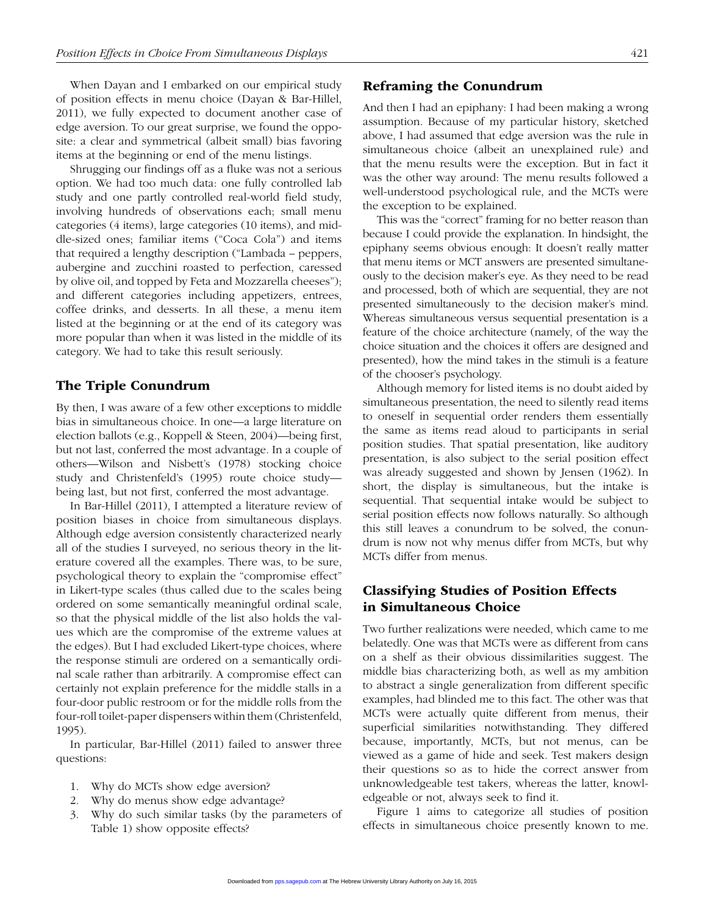When Dayan and I embarked on our empirical study of position effects in menu choice (Dayan & Bar-Hillel, 2011), we fully expected to document another case of edge aversion. To our great surprise, we found the opposite: a clear and symmetrical (albeit small) bias favoring items at the beginning or end of the menu listings.

Shrugging our findings off as a fluke was not a serious option. We had too much data: one fully controlled lab study and one partly controlled real-world field study, involving hundreds of observations each; small menu categories (4 items), large categories (10 items), and middle-sized ones; familiar items ("Coca Cola") and items that required a lengthy description ("Lambada – peppers, aubergine and zucchini roasted to perfection, caressed by olive oil, and topped by Feta and Mozzarella cheeses"); and different categories including appetizers, entrees, coffee drinks, and desserts. In all these, a menu item listed at the beginning or at the end of its category was more popular than when it was listed in the middle of its category. We had to take this result seriously.

#### The Triple Conundrum

By then, I was aware of a few other exceptions to middle bias in simultaneous choice. In one—a large literature on election ballots (e.g., Koppell & Steen, 2004)—being first, but not last, conferred the most advantage. In a couple of others—Wilson and Nisbett's (1978) stocking choice study and Christenfeld's (1995) route choice study being last, but not first, conferred the most advantage.

In Bar-Hillel (2011), I attempted a literature review of position biases in choice from simultaneous displays. Although edge aversion consistently characterized nearly all of the studies I surveyed, no serious theory in the literature covered all the examples. There was, to be sure, psychological theory to explain the "compromise effect" in Likert-type scales (thus called due to the scales being ordered on some semantically meaningful ordinal scale, so that the physical middle of the list also holds the values which are the compromise of the extreme values at the edges). But I had excluded Likert-type choices, where the response stimuli are ordered on a semantically ordinal scale rather than arbitrarily. A compromise effect can certainly not explain preference for the middle stalls in a four-door public restroom or for the middle rolls from the four-roll toilet-paper dispensers within them (Christenfeld, 1995).

In particular, Bar-Hillel (2011) failed to answer three questions:

- 1. Why do MCTs show edge aversion?
- 2. Why do menus show edge advantage?
- 3. Why do such similar tasks (by the parameters of Table 1) show opposite effects?

#### Reframing the Conundrum

And then I had an epiphany: I had been making a wrong assumption. Because of my particular history, sketched above, I had assumed that edge aversion was the rule in simultaneous choice (albeit an unexplained rule) and that the menu results were the exception. But in fact it was the other way around: The menu results followed a well-understood psychological rule, and the MCTs were the exception to be explained.

This was the "correct" framing for no better reason than because I could provide the explanation. In hindsight, the epiphany seems obvious enough: It doesn't really matter that menu items or MCT answers are presented simultaneously to the decision maker's eye. As they need to be read and processed, both of which are sequential, they are not presented simultaneously to the decision maker's mind. Whereas simultaneous versus sequential presentation is a feature of the choice architecture (namely, of the way the choice situation and the choices it offers are designed and presented), how the mind takes in the stimuli is a feature of the chooser's psychology.

Although memory for listed items is no doubt aided by simultaneous presentation, the need to silently read items to oneself in sequential order renders them essentially the same as items read aloud to participants in serial position studies. That spatial presentation, like auditory presentation, is also subject to the serial position effect was already suggested and shown by Jensen (1962). In short, the display is simultaneous, but the intake is sequential. That sequential intake would be subject to serial position effects now follows naturally. So although this still leaves a conundrum to be solved, the conundrum is now not why menus differ from MCTs, but why MCTs differ from menus.

## Classifying Studies of Position Effects in Simultaneous Choice

Two further realizations were needed, which came to me belatedly. One was that MCTs were as different from cans on a shelf as their obvious dissimilarities suggest. The middle bias characterizing both, as well as my ambition to abstract a single generalization from different specific examples, had blinded me to this fact. The other was that MCTs were actually quite different from menus, their superficial similarities notwithstanding. They differed because, importantly, MCTs, but not menus, can be viewed as a game of hide and seek. Test makers design their questions so as to hide the correct answer from unknowledgeable test takers, whereas the latter, knowledgeable or not, always seek to find it.

Figure 1 aims to categorize all studies of position effects in simultaneous choice presently known to me.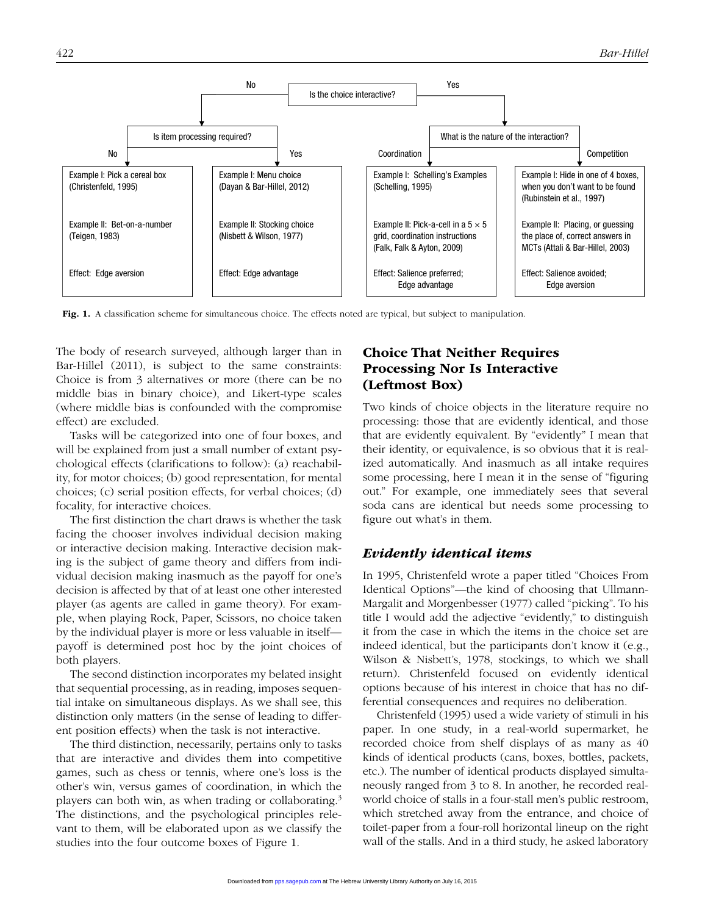

Fig. 1. A classification scheme for simultaneous choice. The effects noted are typical, but subject to manipulation.

The body of research surveyed, although larger than in Bar-Hillel (2011), is subject to the same constraints: Choice is from 3 alternatives or more (there can be no middle bias in binary choice), and Likert-type scales (where middle bias is confounded with the compromise effect) are excluded.

Tasks will be categorized into one of four boxes, and will be explained from just a small number of extant psychological effects (clarifications to follow): (a) reachability, for motor choices; (b) good representation, for mental choices; (c) serial position effects, for verbal choices; (d) focality, for interactive choices.

The first distinction the chart draws is whether the task facing the chooser involves individual decision making or interactive decision making. Interactive decision making is the subject of game theory and differs from individual decision making inasmuch as the payoff for one's decision is affected by that of at least one other interested player (as agents are called in game theory). For example, when playing Rock, Paper, Scissors, no choice taken by the individual player is more or less valuable in itself payoff is determined post hoc by the joint choices of both players.

The second distinction incorporates my belated insight that sequential processing, as in reading, imposes sequential intake on simultaneous displays. As we shall see, this distinction only matters (in the sense of leading to different position effects) when the task is not interactive.

The third distinction, necessarily, pertains only to tasks that are interactive and divides them into competitive games, such as chess or tennis, where one's loss is the other's win, versus games of coordination, in which the players can both win, as when trading or collaborating.<sup>3</sup> The distinctions, and the psychological principles relevant to them, will be elaborated upon as we classify the studies into the four outcome boxes of Figure 1.

## Choice That Neither Requires Processing Nor Is Interactive (Leftmost Box)

Two kinds of choice objects in the literature require no processing: those that are evidently identical, and those that are evidently equivalent. By "evidently" I mean that their identity, or equivalence, is so obvious that it is realized automatically. And inasmuch as all intake requires some processing, here I mean it in the sense of "figuring out." For example, one immediately sees that several soda cans are identical but needs some processing to figure out what's in them.

## *Evidently identical items*

In 1995, Christenfeld wrote a paper titled "Choices From Identical Options"—the kind of choosing that Ullmann-Margalit and Morgenbesser (1977) called "picking". To his title I would add the adjective "evidently," to distinguish it from the case in which the items in the choice set are indeed identical, but the participants don't know it (e.g., Wilson & Nisbett's, 1978, stockings, to which we shall return). Christenfeld focused on evidently identical options because of his interest in choice that has no differential consequences and requires no deliberation.

Christenfeld (1995) used a wide variety of stimuli in his paper. In one study, in a real-world supermarket, he recorded choice from shelf displays of as many as 40 kinds of identical products (cans, boxes, bottles, packets, etc.). The number of identical products displayed simultaneously ranged from 3 to 8. In another, he recorded realworld choice of stalls in a four-stall men's public restroom, which stretched away from the entrance, and choice of toilet-paper from a four-roll horizontal lineup on the right wall of the stalls. And in a third study, he asked laboratory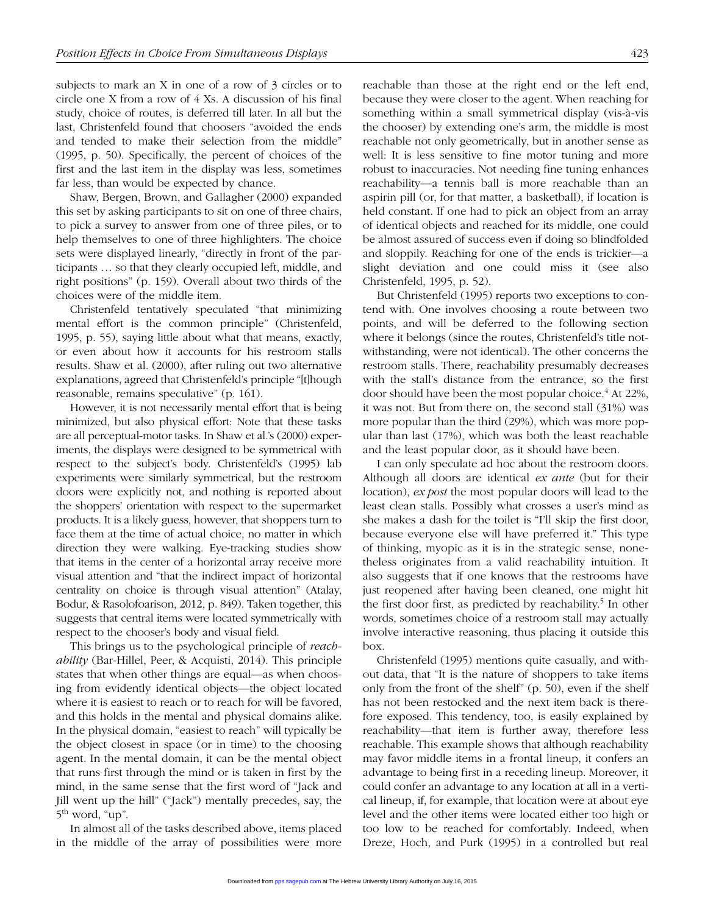subjects to mark an X in one of a row of 3 circles or to circle one X from a row of 4 Xs. A discussion of his final study, choice of routes, is deferred till later. In all but the last, Christenfeld found that choosers "avoided the ends and tended to make their selection from the middle" (1995, p. 50). Specifically, the percent of choices of the first and the last item in the display was less, sometimes far less, than would be expected by chance.

Shaw, Bergen, Brown, and Gallagher (2000) expanded this set by asking participants to sit on one of three chairs, to pick a survey to answer from one of three piles, or to help themselves to one of three highlighters. The choice sets were displayed linearly, "directly in front of the participants … so that they clearly occupied left, middle, and right positions" (p. 159). Overall about two thirds of the choices were of the middle item.

Christenfeld tentatively speculated "that minimizing mental effort is the common principle" (Christenfeld, 1995, p. 55), saying little about what that means, exactly, or even about how it accounts for his restroom stalls results. Shaw et al. (2000), after ruling out two alternative explanations, agreed that Christenfeld's principle "[t]hough reasonable, remains speculative" (p. 161).

However, it is not necessarily mental effort that is being minimized, but also physical effort: Note that these tasks are all perceptual-motor tasks. In Shaw et al.'s (2000) experiments, the displays were designed to be symmetrical with respect to the subject's body. Christenfeld's (1995) lab experiments were similarly symmetrical, but the restroom doors were explicitly not, and nothing is reported about the shoppers' orientation with respect to the supermarket products. It is a likely guess, however, that shoppers turn to face them at the time of actual choice, no matter in which direction they were walking. Eye-tracking studies show that items in the center of a horizontal array receive more visual attention and "that the indirect impact of horizontal centrality on choice is through visual attention" (Atalay, Bodur, & Rasolofoarison, 2012, p. 849). Taken together, this suggests that central items were located symmetrically with respect to the chooser's body and visual field.

This brings us to the psychological principle of *reachability* (Bar-Hillel, Peer, & Acquisti, 2014). This principle states that when other things are equal—as when choosing from evidently identical objects—the object located where it is easiest to reach or to reach for will be favored, and this holds in the mental and physical domains alike. In the physical domain, "easiest to reach" will typically be the object closest in space (or in time) to the choosing agent. In the mental domain, it can be the mental object that runs first through the mind or is taken in first by the mind, in the same sense that the first word of "Jack and Jill went up the hill" ("Jack") mentally precedes, say, the  $5<sup>th</sup>$  word, "up".

In almost all of the tasks described above, items placed in the middle of the array of possibilities were more reachable than those at the right end or the left end, because they were closer to the agent. When reaching for something within a small symmetrical display (vis-à-vis the chooser) by extending one's arm, the middle is most reachable not only geometrically, but in another sense as well: It is less sensitive to fine motor tuning and more robust to inaccuracies. Not needing fine tuning enhances reachability—a tennis ball is more reachable than an aspirin pill (or, for that matter, a basketball), if location is held constant. If one had to pick an object from an array of identical objects and reached for its middle, one could be almost assured of success even if doing so blindfolded and sloppily. Reaching for one of the ends is trickier—a slight deviation and one could miss it (see also Christenfeld, 1995, p. 52).

But Christenfeld (1995) reports two exceptions to contend with. One involves choosing a route between two points, and will be deferred to the following section where it belongs (since the routes, Christenfeld's title notwithstanding, were not identical). The other concerns the restroom stalls. There, reachability presumably decreases with the stall's distance from the entrance, so the first door should have been the most popular choice.<sup>4</sup> At 22%, it was not. But from there on, the second stall (31%) was more popular than the third (29%), which was more popular than last (17%), which was both the least reachable and the least popular door, as it should have been.

I can only speculate ad hoc about the restroom doors. Although all doors are identical *ex ante* (but for their location), *ex post* the most popular doors will lead to the least clean stalls. Possibly what crosses a user's mind as she makes a dash for the toilet is "I'll skip the first door, because everyone else will have preferred it." This type of thinking, myopic as it is in the strategic sense, nonetheless originates from a valid reachability intuition. It also suggests that if one knows that the restrooms have just reopened after having been cleaned, one might hit the first door first, as predicted by reachability.<sup>5</sup> In other words, sometimes choice of a restroom stall may actually involve interactive reasoning, thus placing it outside this box.

Christenfeld (1995) mentions quite casually, and without data, that "It is the nature of shoppers to take items only from the front of the shelf" (p. 50), even if the shelf has not been restocked and the next item back is therefore exposed. This tendency, too, is easily explained by reachability—that item is further away, therefore less reachable. This example shows that although reachability may favor middle items in a frontal lineup, it confers an advantage to being first in a receding lineup. Moreover, it could confer an advantage to any location at all in a vertical lineup, if, for example, that location were at about eye level and the other items were located either too high or too low to be reached for comfortably. Indeed, when Dreze, Hoch, and Purk (1995) in a controlled but real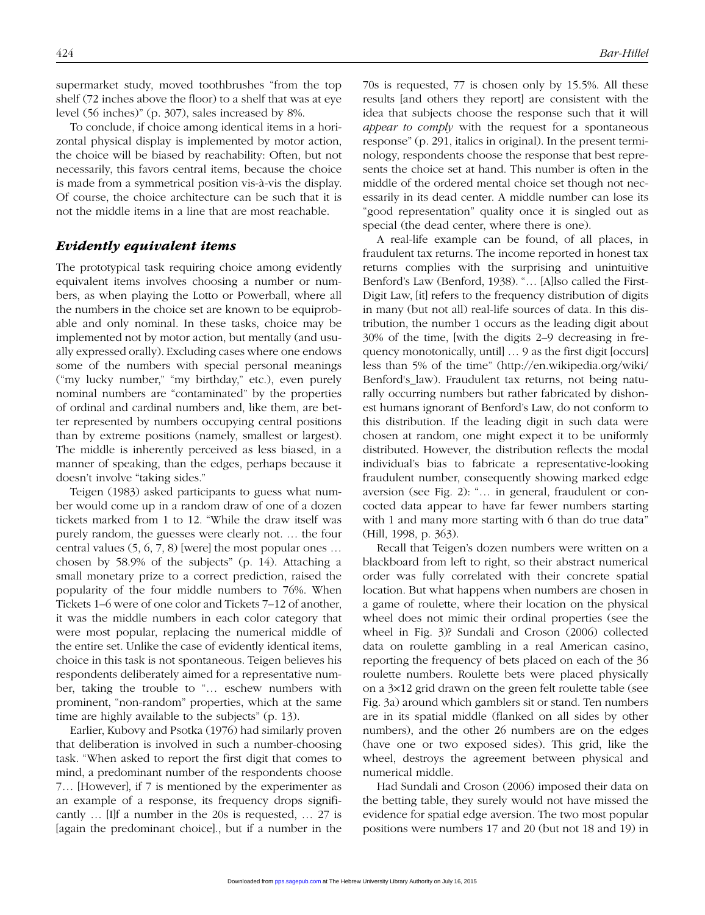supermarket study, moved toothbrushes "from the top shelf (72 inches above the floor) to a shelf that was at eye level (56 inches)" (p. 307), sales increased by 8%.

To conclude, if choice among identical items in a horizontal physical display is implemented by motor action, the choice will be biased by reachability: Often, but not necessarily, this favors central items, because the choice is made from a symmetrical position vis-à-vis the display. Of course, the choice architecture can be such that it is not the middle items in a line that are most reachable.

#### *Evidently equivalent items*

The prototypical task requiring choice among evidently equivalent items involves choosing a number or numbers, as when playing the Lotto or Powerball, where all the numbers in the choice set are known to be equiprobable and only nominal. In these tasks, choice may be implemented not by motor action, but mentally (and usually expressed orally). Excluding cases where one endows some of the numbers with special personal meanings ("my lucky number," "my birthday," etc.), even purely nominal numbers are "contaminated" by the properties of ordinal and cardinal numbers and, like them, are better represented by numbers occupying central positions than by extreme positions (namely, smallest or largest). The middle is inherently perceived as less biased, in a manner of speaking, than the edges, perhaps because it doesn't involve "taking sides."

Teigen (1983) asked participants to guess what number would come up in a random draw of one of a dozen tickets marked from 1 to 12. "While the draw itself was purely random, the guesses were clearly not. … the four central values (5, 6, 7, 8) [were] the most popular ones … chosen by 58.9% of the subjects" (p. 14). Attaching a small monetary prize to a correct prediction, raised the popularity of the four middle numbers to 76%. When Tickets 1–6 were of one color and Tickets 7–12 of another, it was the middle numbers in each color category that were most popular, replacing the numerical middle of the entire set. Unlike the case of evidently identical items, choice in this task is not spontaneous. Teigen believes his respondents deliberately aimed for a representative number, taking the trouble to "… eschew numbers with prominent, "non-random" properties, which at the same time are highly available to the subjects" (p. 13).

Earlier, Kubovy and Psotka (1976) had similarly proven that deliberation is involved in such a number-choosing task. "When asked to report the first digit that comes to mind, a predominant number of the respondents choose 7… [However], if 7 is mentioned by the experimenter as an example of a response, its frequency drops significantly … [I]f a number in the 20s is requested, … 27 is [again the predominant choice]., but if a number in the 70s is requested, 77 is chosen only by 15.5%. All these results [and others they report] are consistent with the idea that subjects choose the response such that it will *appear to comply* with the request for a spontaneous response" (p. 291, italics in original). In the present terminology, respondents choose the response that best represents the choice set at hand. This number is often in the middle of the ordered mental choice set though not necessarily in its dead center. A middle number can lose its "good representation" quality once it is singled out as special (the dead center, where there is one).

A real-life example can be found, of all places, in fraudulent tax returns. The income reported in honest tax returns complies with the surprising and unintuitive Benford's Law (Benford, 1938). "… [A]lso called the First-Digit Law, [it] refers to the frequency distribution of digits in many (but not all) real-life sources of data. In this distribution, the number 1 occurs as the leading digit about 30% of the time, [with the digits 2–9 decreasing in frequency monotonically, until] … 9 as the first digit [occurs] less than 5% of the time" (http://en.wikipedia.org/wiki/ Benford's\_law). Fraudulent tax returns, not being naturally occurring numbers but rather fabricated by dishonest humans ignorant of Benford's Law, do not conform to this distribution. If the leading digit in such data were chosen at random, one might expect it to be uniformly distributed. However, the distribution reflects the modal individual's bias to fabricate a representative-looking fraudulent number, consequently showing marked edge aversion (see Fig. 2): "… in general, fraudulent or concocted data appear to have far fewer numbers starting with 1 and many more starting with 6 than do true data" (Hill, 1998, p. 363).

Recall that Teigen's dozen numbers were written on a blackboard from left to right, so their abstract numerical order was fully correlated with their concrete spatial location. But what happens when numbers are chosen in a game of roulette, where their location on the physical wheel does not mimic their ordinal properties (see the wheel in Fig. 3)? Sundali and Croson (2006) collected data on roulette gambling in a real American casino, reporting the frequency of bets placed on each of the 36 roulette numbers. Roulette bets were placed physically on a 3×12 grid drawn on the green felt roulette table (see Fig. 3a) around which gamblers sit or stand. Ten numbers are in its spatial middle (flanked on all sides by other numbers), and the other 26 numbers are on the edges (have one or two exposed sides). This grid, like the wheel, destroys the agreement between physical and numerical middle.

Had Sundali and Croson (2006) imposed their data on the betting table, they surely would not have missed the evidence for spatial edge aversion. The two most popular positions were numbers 17 and 20 (but not 18 and 19) in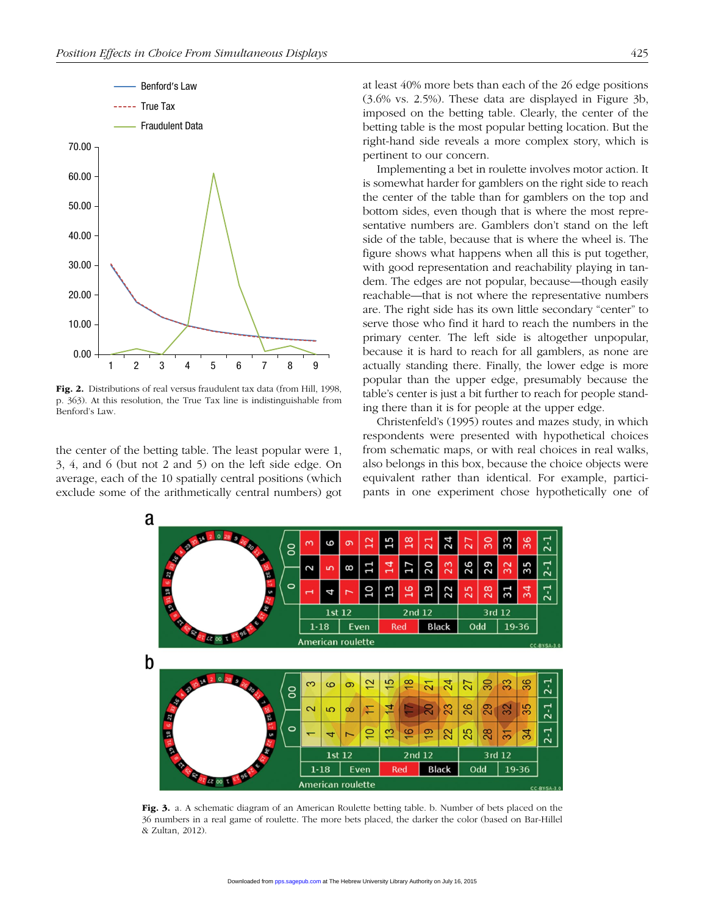

Fig. 2. Distributions of real versus fraudulent tax data (from Hill, 1998, p. 363). At this resolution, the True Tax line is indistinguishable from Benford's Law.

the center of the betting table. The least popular were 1, 3, 4, and 6 (but not 2 and 5) on the left side edge. On average, each of the 10 spatially central positions (which exclude some of the arithmetically central numbers) got at least 40% more bets than each of the 26 edge positions (3.6% vs. 2.5%). These data are displayed in Figure 3b, imposed on the betting table. Clearly, the center of the betting table is the most popular betting location. But the right-hand side reveals a more complex story, which is pertinent to our concern.

Implementing a bet in roulette involves motor action. It is somewhat harder for gamblers on the right side to reach the center of the table than for gamblers on the top and bottom sides, even though that is where the most representative numbers are. Gamblers don't stand on the left side of the table, because that is where the wheel is. The figure shows what happens when all this is put together, with good representation and reachability playing in tandem. The edges are not popular, because—though easily reachable—that is not where the representative numbers are. The right side has its own little secondary "center" to serve those who find it hard to reach the numbers in the primary center. The left side is altogether unpopular, because it is hard to reach for all gamblers, as none are actually standing there. Finally, the lower edge is more popular than the upper edge, presumably because the table's center is just a bit further to reach for people standing there than it is for people at the upper edge.

Christenfeld's (1995) routes and mazes study, in which respondents were presented with hypothetical choices from schematic maps, or with real choices in real walks, also belongs in this box, because the choice objects were equivalent rather than identical. For example, participants in one experiment chose hypothetically one of



Fig. 3. a. A schematic diagram of an American Roulette betting table. b. Number of bets placed on the 36 numbers in a real game of roulette. The more bets placed, the darker the color (based on Bar-Hillel & Zultan, 2012).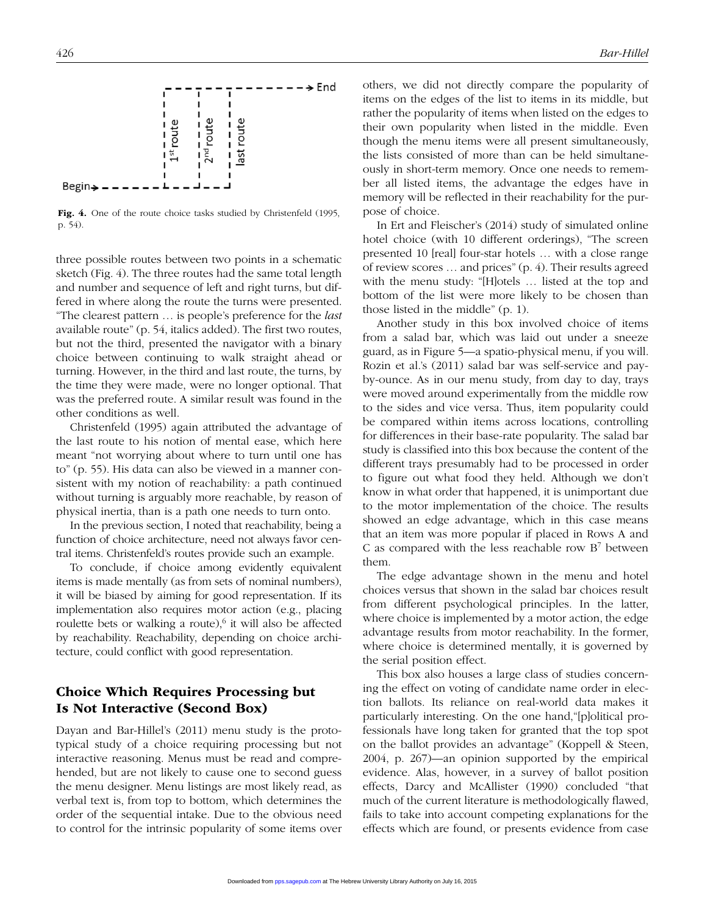

Fig. 4. One of the route choice tasks studied by Christenfeld (1995, p. 54).

three possible routes between two points in a schematic sketch (Fig. 4). The three routes had the same total length and number and sequence of left and right turns, but differed in where along the route the turns were presented. "The clearest pattern … is people's preference for the *last* available route" (p. 54, italics added). The first two routes, but not the third, presented the navigator with a binary choice between continuing to walk straight ahead or turning. However, in the third and last route, the turns, by the time they were made, were no longer optional. That was the preferred route. A similar result was found in the other conditions as well.

Christenfeld (1995) again attributed the advantage of the last route to his notion of mental ease, which here meant "not worrying about where to turn until one has to" (p. 55). His data can also be viewed in a manner consistent with my notion of reachability: a path continued without turning is arguably more reachable, by reason of physical inertia, than is a path one needs to turn onto.

In the previous section, I noted that reachability, being a function of choice architecture, need not always favor central items. Christenfeld's routes provide such an example.

To conclude, if choice among evidently equivalent items is made mentally (as from sets of nominal numbers), it will be biased by aiming for good representation. If its implementation also requires motor action (e.g., placing roulette bets or walking a route),<sup>6</sup> it will also be affected by reachability. Reachability, depending on choice architecture, could conflict with good representation.

## Choice Which Requires Processing but Is Not Interactive (Second Box)

Dayan and Bar-Hillel's (2011) menu study is the prototypical study of a choice requiring processing but not interactive reasoning. Menus must be read and comprehended, but are not likely to cause one to second guess the menu designer. Menu listings are most likely read, as verbal text is, from top to bottom, which determines the order of the sequential intake. Due to the obvious need to control for the intrinsic popularity of some items over others, we did not directly compare the popularity of items on the edges of the list to items in its middle, but rather the popularity of items when listed on the edges to their own popularity when listed in the middle. Even though the menu items were all present simultaneously, the lists consisted of more than can be held simultaneously in short-term memory. Once one needs to remember all listed items, the advantage the edges have in memory will be reflected in their reachability for the purpose of choice.

In Ert and Fleischer's (2014) study of simulated online hotel choice (with 10 different orderings), "The screen presented 10 [real] four-star hotels … with a close range of review scores … and prices" (p. 4). Their results agreed with the menu study: "[H]otels … listed at the top and bottom of the list were more likely to be chosen than those listed in the middle" (p. 1).

Another study in this box involved choice of items from a salad bar, which was laid out under a sneeze guard, as in Figure 5—a spatio-physical menu, if you will. Rozin et al.'s (2011) salad bar was self-service and payby-ounce. As in our menu study, from day to day, trays were moved around experimentally from the middle row to the sides and vice versa. Thus, item popularity could be compared within items across locations, controlling for differences in their base-rate popularity. The salad bar study is classified into this box because the content of the different trays presumably had to be processed in order to figure out what food they held. Although we don't know in what order that happened, it is unimportant due to the motor implementation of the choice. The results showed an edge advantage, which in this case means that an item was more popular if placed in Rows A and C as compared with the less reachable row  $B<sup>7</sup>$  between them.

The edge advantage shown in the menu and hotel choices versus that shown in the salad bar choices result from different psychological principles. In the latter, where choice is implemented by a motor action, the edge advantage results from motor reachability. In the former, where choice is determined mentally, it is governed by the serial position effect.

This box also houses a large class of studies concerning the effect on voting of candidate name order in election ballots. Its reliance on real-world data makes it particularly interesting. On the one hand,"[p]olitical professionals have long taken for granted that the top spot on the ballot provides an advantage" (Koppell & Steen, 2004, p. 267)—an opinion supported by the empirical evidence. Alas, however, in a survey of ballot position effects, Darcy and McAllister (1990) concluded "that much of the current literature is methodologically flawed, fails to take into account competing explanations for the effects which are found, or presents evidence from case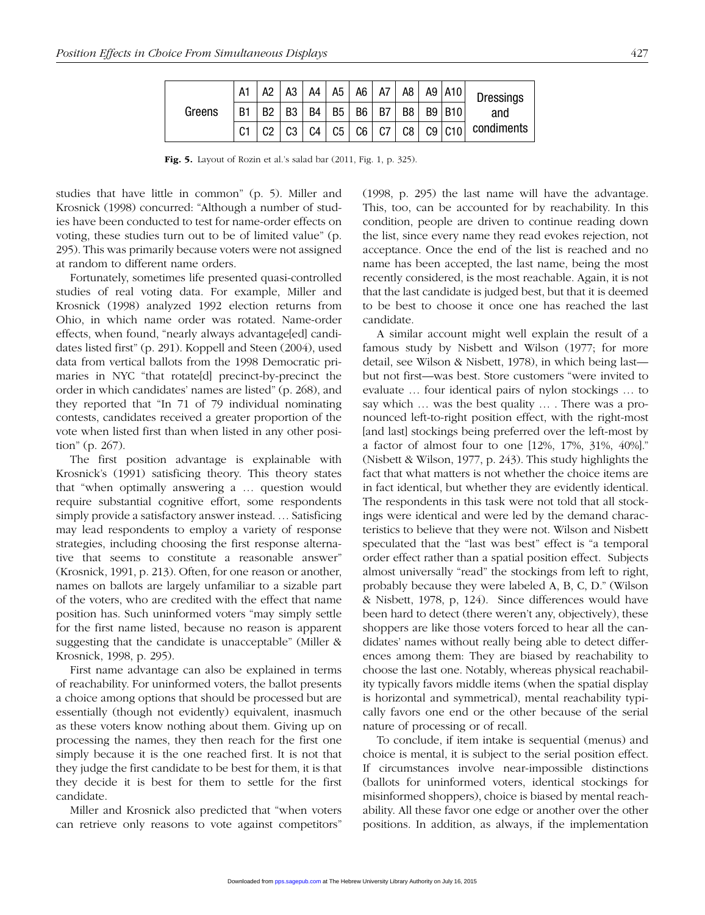| Greens |    | A2             | A3             | A4        |      |    | A5   A6   A7 |    | $\mathsf{A8}$   $\mathsf{A9}$   $\mathsf{A10}$ | <b>Dressings</b> |
|--------|----|----------------|----------------|-----------|------|----|--------------|----|------------------------------------------------|------------------|
|        | B1 | <b>B2</b>      | B <sub>3</sub> | <b>B4</b> | - B5 | B6 | B7           | B8 | B9 B10                                         | and              |
|        |    | C <sub>2</sub> | C <sub>3</sub> | C4        | C5   | C6 | C7           | C8 | C9 C10                                         | condiments       |

Fig. 5. Layout of Rozin et al.'s salad bar (2011, Fig. 1, p. 325).

studies that have little in common" (p. 5). Miller and Krosnick (1998) concurred: "Although a number of studies have been conducted to test for name-order effects on voting, these studies turn out to be of limited value" (p. 295). This was primarily because voters were not assigned at random to different name orders.

Fortunately, sometimes life presented quasi-controlled studies of real voting data. For example, Miller and Krosnick (1998) analyzed 1992 election returns from Ohio, in which name order was rotated. Name-order effects, when found, "nearly always advantage[ed] candidates listed first" (p. 291). Koppell and Steen (2004), used data from vertical ballots from the 1998 Democratic primaries in NYC "that rotate[d] precinct-by-precinct the order in which candidates' names are listed" (p. 268), and they reported that "In 71 of 79 individual nominating contests, candidates received a greater proportion of the vote when listed first than when listed in any other position" (p. 267).

The first position advantage is explainable with Krosnick's (1991) satisficing theory. This theory states that "when optimally answering a … question would require substantial cognitive effort, some respondents simply provide a satisfactory answer instead. … Satisficing may lead respondents to employ a variety of response strategies, including choosing the first response alternative that seems to constitute a reasonable answer" (Krosnick, 1991, p. 213). Often, for one reason or another, names on ballots are largely unfamiliar to a sizable part of the voters, who are credited with the effect that name position has. Such uninformed voters "may simply settle for the first name listed, because no reason is apparent suggesting that the candidate is unacceptable" (Miller & Krosnick, 1998, p. 295).

First name advantage can also be explained in terms of reachability. For uninformed voters, the ballot presents a choice among options that should be processed but are essentially (though not evidently) equivalent, inasmuch as these voters know nothing about them. Giving up on processing the names, they then reach for the first one simply because it is the one reached first. It is not that they judge the first candidate to be best for them, it is that they decide it is best for them to settle for the first candidate.

Miller and Krosnick also predicted that "when voters can retrieve only reasons to vote against competitors" (1998, p. 295) the last name will have the advantage. This, too, can be accounted for by reachability. In this condition, people are driven to continue reading down the list, since every name they read evokes rejection, not acceptance. Once the end of the list is reached and no name has been accepted, the last name, being the most recently considered, is the most reachable. Again, it is not that the last candidate is judged best, but that it is deemed to be best to choose it once one has reached the last candidate.

A similar account might well explain the result of a famous study by Nisbett and Wilson (1977; for more detail, see Wilson & Nisbett, 1978), in which being last but not first—was best. Store customers "were invited to evaluate … four identical pairs of nylon stockings … to say which … was the best quality … . There was a pronounced left-to-right position effect, with the right-most [and last] stockings being preferred over the left-most by a factor of almost four to one [12%, 17%, 31%, 40%]." (Nisbett & Wilson, 1977, p. 243). This study highlights the fact that what matters is not whether the choice items are in fact identical, but whether they are evidently identical. The respondents in this task were not told that all stockings were identical and were led by the demand characteristics to believe that they were not. Wilson and Nisbett speculated that the "last was best" effect is "a temporal order effect rather than a spatial position effect. Subjects almost universally "read" the stockings from left to right, probably because they were labeled A, B, C, D." (Wilson & Nisbett, 1978, p, 124). Since differences would have been hard to detect (there weren't any, objectively), these shoppers are like those voters forced to hear all the candidates' names without really being able to detect differences among them: They are biased by reachability to choose the last one. Notably, whereas physical reachability typically favors middle items (when the spatial display is horizontal and symmetrical), mental reachability typically favors one end or the other because of the serial nature of processing or of recall.

To conclude, if item intake is sequential (menus) and choice is mental, it is subject to the serial position effect. If circumstances involve near-impossible distinctions (ballots for uninformed voters, identical stockings for misinformed shoppers), choice is biased by mental reachability. All these favor one edge or another over the other positions. In addition, as always, if the implementation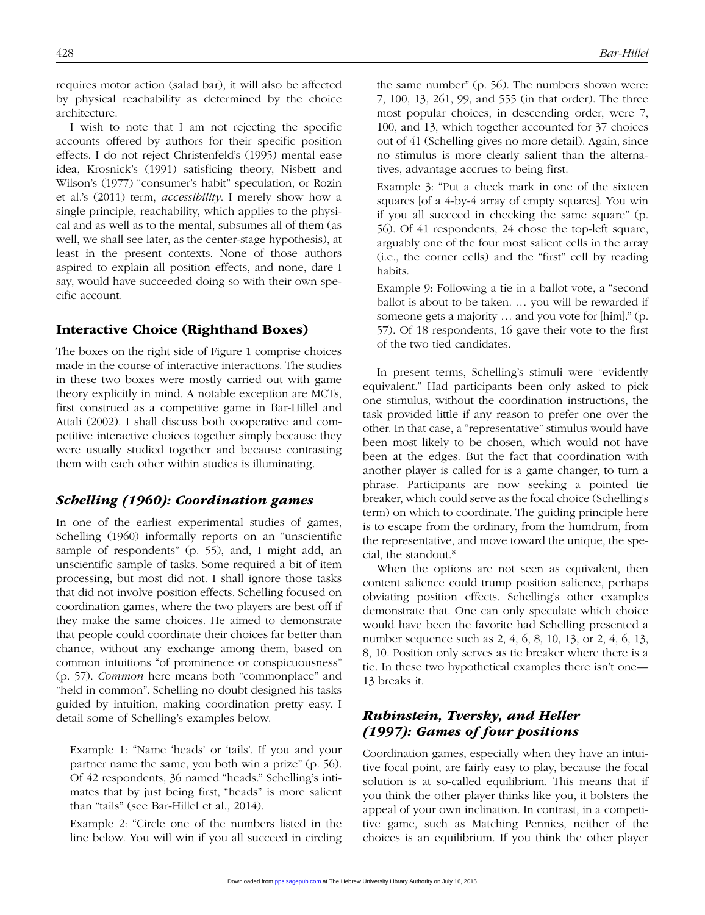requires motor action (salad bar), it will also be affected by physical reachability as determined by the choice architecture.

I wish to note that I am not rejecting the specific accounts offered by authors for their specific position effects. I do not reject Christenfeld's (1995) mental ease idea, Krosnick's (1991) satisficing theory, Nisbett and Wilson's (1977) "consumer's habit" speculation, or Rozin et al.'s (2011) term, *accessibility*. I merely show how a single principle, reachability, which applies to the physical and as well as to the mental, subsumes all of them (as well, we shall see later, as the center-stage hypothesis), at least in the present contexts. None of those authors aspired to explain all position effects, and none, dare I say, would have succeeded doing so with their own specific account.

## Interactive Choice (Righthand Boxes)

The boxes on the right side of Figure 1 comprise choices made in the course of interactive interactions. The studies in these two boxes were mostly carried out with game theory explicitly in mind. A notable exception are MCTs, first construed as a competitive game in Bar-Hillel and Attali (2002). I shall discuss both cooperative and competitive interactive choices together simply because they were usually studied together and because contrasting them with each other within studies is illuminating.

## *Schelling (1960): Coordination games*

In one of the earliest experimental studies of games, Schelling (1960) informally reports on an "unscientific sample of respondents" (p. 55), and, I might add, an unscientific sample of tasks. Some required a bit of item processing, but most did not. I shall ignore those tasks that did not involve position effects. Schelling focused on coordination games, where the two players are best off if they make the same choices. He aimed to demonstrate that people could coordinate their choices far better than chance, without any exchange among them, based on common intuitions "of prominence or conspicuousness" (p. 57). *Common* here means both "commonplace" and "held in common". Schelling no doubt designed his tasks guided by intuition, making coordination pretty easy. I detail some of Schelling's examples below.

Example 1: "Name 'heads' or 'tails'. If you and your partner name the same, you both win a prize" (p. 56). Of 42 respondents, 36 named "heads." Schelling's intimates that by just being first, "heads" is more salient than "tails" (see Bar-Hillel et al., 2014).

Example 2: "Circle one of the numbers listed in the line below. You will win if you all succeed in circling the same number" (p. 56). The numbers shown were: 7, 100, 13, 261, 99, and 555 (in that order). The three most popular choices, in descending order, were 7, 100, and 13, which together accounted for 37 choices out of 41 (Schelling gives no more detail). Again, since no stimulus is more clearly salient than the alternatives, advantage accrues to being first.

Example 3: "Put a check mark in one of the sixteen squares [of a 4-by-4 array of empty squares]. You win if you all succeed in checking the same square" (p. 56). Of 41 respondents, 24 chose the top-left square, arguably one of the four most salient cells in the array (i.e., the corner cells) and the "first" cell by reading habits.

Example 9: Following a tie in a ballot vote, a "second ballot is about to be taken. … you will be rewarded if someone gets a majority … and you vote for [him]." (p. 57). Of 18 respondents, 16 gave their vote to the first of the two tied candidates.

In present terms, Schelling's stimuli were "evidently equivalent." Had participants been only asked to pick one stimulus, without the coordination instructions, the task provided little if any reason to prefer one over the other. In that case, a "representative" stimulus would have been most likely to be chosen, which would not have been at the edges. But the fact that coordination with another player is called for is a game changer, to turn a phrase. Participants are now seeking a pointed tie breaker, which could serve as the focal choice (Schelling's term) on which to coordinate. The guiding principle here is to escape from the ordinary, from the humdrum, from the representative, and move toward the unique, the special, the standout.<sup>8</sup>

When the options are not seen as equivalent, then content salience could trump position salience, perhaps obviating position effects. Schelling's other examples demonstrate that. One can only speculate which choice would have been the favorite had Schelling presented a number sequence such as 2, 4, 6, 8, 10, 13, or 2, 4, 6, 13, 8, 10. Position only serves as tie breaker where there is a tie. In these two hypothetical examples there isn't one— 13 breaks it.

## *Rubinstein, Tversky, and Heller (1997): Games of four positions*

Coordination games, especially when they have an intuitive focal point, are fairly easy to play, because the focal solution is at so-called equilibrium. This means that if you think the other player thinks like you, it bolsters the appeal of your own inclination. In contrast, in a competitive game, such as Matching Pennies, neither of the choices is an equilibrium. If you think the other player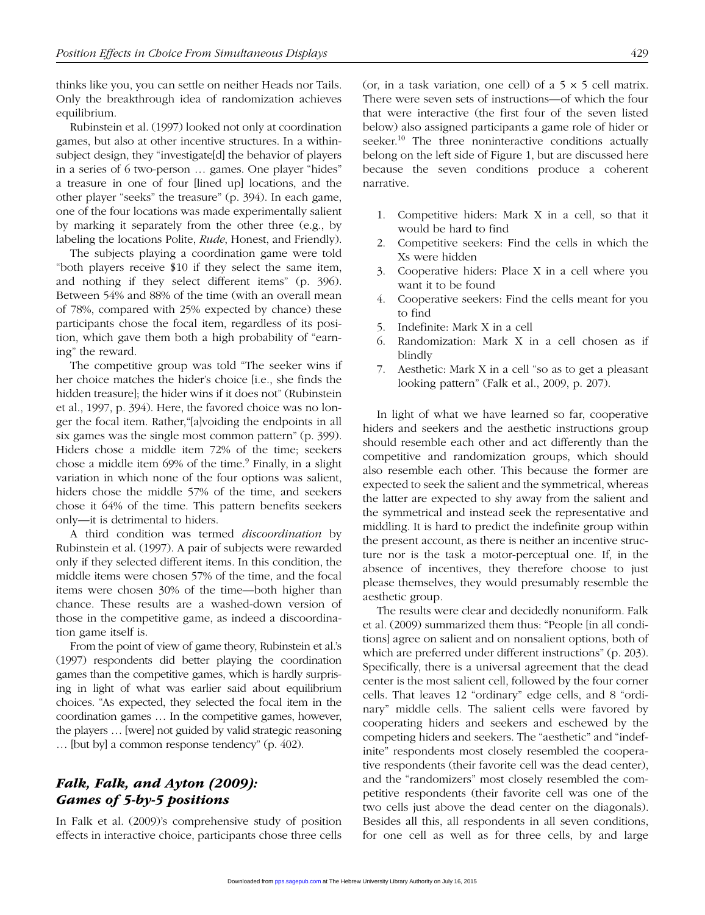thinks like you, you can settle on neither Heads nor Tails. Only the breakthrough idea of randomization achieves equilibrium.

Rubinstein et al. (1997) looked not only at coordination games, but also at other incentive structures. In a withinsubject design, they "investigate[d] the behavior of players in a series of 6 two-person … games. One player "hides" a treasure in one of four [lined up] locations, and the other player "seeks" the treasure" (p. 394). In each game, one of the four locations was made experimentally salient by marking it separately from the other three (e.g., by labeling the locations Polite, *Rude*, Honest, and Friendly).

The subjects playing a coordination game were told "both players receive \$10 if they select the same item, and nothing if they select different items" (p. 396). Between 54% and 88% of the time (with an overall mean of 78%, compared with 25% expected by chance) these participants chose the focal item, regardless of its position, which gave them both a high probability of "earning" the reward.

The competitive group was told "The seeker wins if her choice matches the hider's choice [i.e., she finds the hidden treasure]; the hider wins if it does not" (Rubinstein et al., 1997, p. 394). Here, the favored choice was no longer the focal item. Rather,"[a]voiding the endpoints in all six games was the single most common pattern" (p. 399). Hiders chose a middle item 72% of the time; seekers chose a middle item 69% of the time.<sup>9</sup> Finally, in a slight variation in which none of the four options was salient, hiders chose the middle 57% of the time, and seekers chose it 64% of the time. This pattern benefits seekers only—it is detrimental to hiders.

A third condition was termed *discoordination* by Rubinstein et al. (1997). A pair of subjects were rewarded only if they selected different items. In this condition, the middle items were chosen 57% of the time, and the focal items were chosen 30% of the time—both higher than chance. These results are a washed-down version of those in the competitive game, as indeed a discoordination game itself is.

From the point of view of game theory, Rubinstein et al.'s (1997) respondents did better playing the coordination games than the competitive games, which is hardly surprising in light of what was earlier said about equilibrium choices. "As expected, they selected the focal item in the coordination games … In the competitive games, however, the players … [were] not guided by valid strategic reasoning … [but by] a common response tendency" (p. 402).

## *Falk, Falk, and Ayton (2009): Games of 5-by-5 positions*

In Falk et al. (2009)'s comprehensive study of position effects in interactive choice, participants chose three cells (or, in a task variation, one cell) of a  $5 \times 5$  cell matrix. There were seven sets of instructions—of which the four that were interactive (the first four of the seven listed below) also assigned participants a game role of hider or seeker.<sup>10</sup> The three noninteractive conditions actually belong on the left side of Figure 1, but are discussed here because the seven conditions produce a coherent narrative.

- 1. Competitive hiders: Mark X in a cell, so that it would be hard to find
- 2. Competitive seekers: Find the cells in which the Xs were hidden
- 3. Cooperative hiders: Place X in a cell where you want it to be found
- 4. Cooperative seekers: Find the cells meant for you to find
- 5. Indefinite: Mark X in a cell
- 6. Randomization: Mark X in a cell chosen as if blindly
- 7. Aesthetic: Mark X in a cell "so as to get a pleasant looking pattern" (Falk et al., 2009, p. 207).

In light of what we have learned so far, cooperative hiders and seekers and the aesthetic instructions group should resemble each other and act differently than the competitive and randomization groups, which should also resemble each other. This because the former are expected to seek the salient and the symmetrical, whereas the latter are expected to shy away from the salient and the symmetrical and instead seek the representative and middling. It is hard to predict the indefinite group within the present account, as there is neither an incentive structure nor is the task a motor-perceptual one. If, in the absence of incentives, they therefore choose to just please themselves, they would presumably resemble the aesthetic group.

The results were clear and decidedly nonuniform. Falk et al. (2009) summarized them thus: "People [in all conditions] agree on salient and on nonsalient options, both of which are preferred under different instructions" (p. 203). Specifically, there is a universal agreement that the dead center is the most salient cell, followed by the four corner cells. That leaves 12 "ordinary" edge cells, and 8 "ordinary" middle cells. The salient cells were favored by cooperating hiders and seekers and eschewed by the competing hiders and seekers. The "aesthetic" and "indefinite" respondents most closely resembled the cooperative respondents (their favorite cell was the dead center), and the "randomizers" most closely resembled the competitive respondents (their favorite cell was one of the two cells just above the dead center on the diagonals). Besides all this, all respondents in all seven conditions, for one cell as well as for three cells, by and large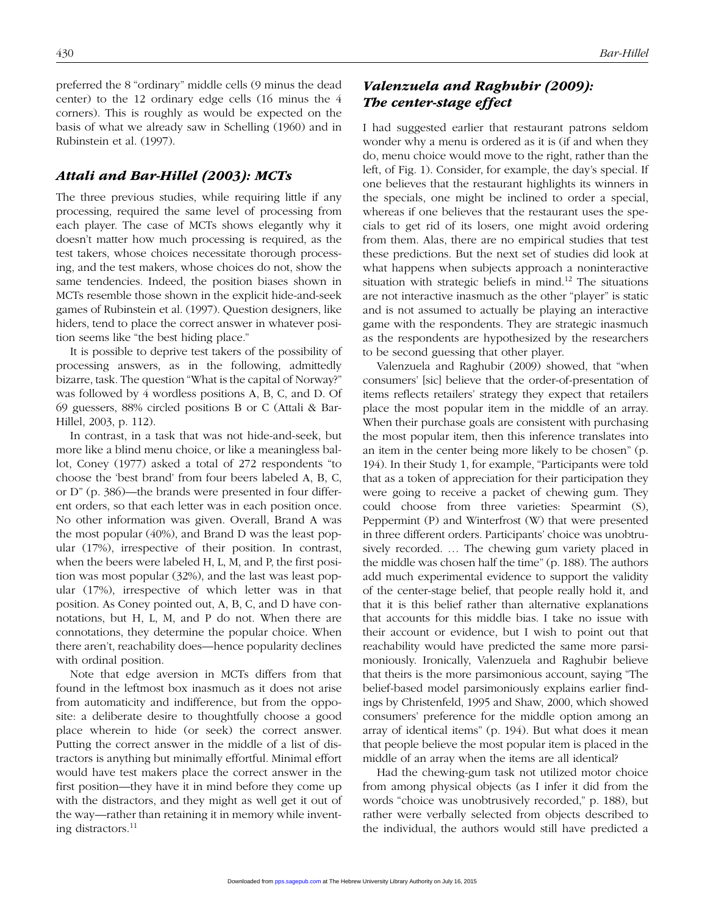preferred the 8 "ordinary" middle cells (9 minus the dead center) to the 12 ordinary edge cells (16 minus the 4 corners). This is roughly as would be expected on the basis of what we already saw in Schelling (1960) and in Rubinstein et al. (1997).

## *Attali and Bar-Hillel (2003): MCTs*

The three previous studies, while requiring little if any processing, required the same level of processing from each player. The case of MCTs shows elegantly why it doesn't matter how much processing is required, as the test takers, whose choices necessitate thorough processing, and the test makers, whose choices do not, show the same tendencies. Indeed, the position biases shown in MCTs resemble those shown in the explicit hide-and-seek games of Rubinstein et al. (1997). Question designers, like hiders, tend to place the correct answer in whatever position seems like "the best hiding place."

It is possible to deprive test takers of the possibility of processing answers, as in the following, admittedly bizarre, task. The question "What is the capital of Norway?" was followed by 4 wordless positions A, B, C, and D. Of 69 guessers, 88% circled positions B or C (Attali & Bar-Hillel, 2003, p. 112).

In contrast, in a task that was not hide-and-seek, but more like a blind menu choice, or like a meaningless ballot, Coney (1977) asked a total of 272 respondents "to choose the 'best brand' from four beers labeled A, B, C, or D" (p. 386)—the brands were presented in four different orders, so that each letter was in each position once. No other information was given. Overall, Brand A was the most popular (40%), and Brand D was the least popular (17%), irrespective of their position. In contrast, when the beers were labeled H, L, M, and P, the first position was most popular (32%), and the last was least popular (17%), irrespective of which letter was in that position. As Coney pointed out, A, B, C, and D have connotations, but H, L, M, and P do not. When there are connotations, they determine the popular choice. When there aren't, reachability does—hence popularity declines with ordinal position.

Note that edge aversion in MCTs differs from that found in the leftmost box inasmuch as it does not arise from automaticity and indifference, but from the opposite: a deliberate desire to thoughtfully choose a good place wherein to hide (or seek) the correct answer. Putting the correct answer in the middle of a list of distractors is anything but minimally effortful. Minimal effort would have test makers place the correct answer in the first position—they have it in mind before they come up with the distractors, and they might as well get it out of the way—rather than retaining it in memory while inventing distractors.<sup>11</sup>

## *Valenzuela and Raghubir (2009): The center-stage effect*

I had suggested earlier that restaurant patrons seldom wonder why a menu is ordered as it is (if and when they do, menu choice would move to the right, rather than the left, of Fig. 1). Consider, for example, the day's special. If one believes that the restaurant highlights its winners in the specials, one might be inclined to order a special, whereas if one believes that the restaurant uses the specials to get rid of its losers, one might avoid ordering from them. Alas, there are no empirical studies that test these predictions. But the next set of studies did look at what happens when subjects approach a noninteractive situation with strategic beliefs in mind.<sup>12</sup> The situations are not interactive inasmuch as the other "player" is static and is not assumed to actually be playing an interactive game with the respondents. They are strategic inasmuch as the respondents are hypothesized by the researchers to be second guessing that other player.

Valenzuela and Raghubir (2009) showed, that "when consumers' [sic] believe that the order-of-presentation of items reflects retailers' strategy they expect that retailers place the most popular item in the middle of an array. When their purchase goals are consistent with purchasing the most popular item, then this inference translates into an item in the center being more likely to be chosen" (p. 194). In their Study 1, for example, "Participants were told that as a token of appreciation for their participation they were going to receive a packet of chewing gum. They could choose from three varieties: Spearmint (S), Peppermint (P) and Winterfrost (W) that were presented in three different orders. Participants' choice was unobtrusively recorded. … The chewing gum variety placed in the middle was chosen half the time" (p. 188). The authors add much experimental evidence to support the validity of the center-stage belief, that people really hold it, and that it is this belief rather than alternative explanations that accounts for this middle bias. I take no issue with their account or evidence, but I wish to point out that reachability would have predicted the same more parsimoniously. Ironically, Valenzuela and Raghubir believe that theirs is the more parsimonious account, saying "The belief-based model parsimoniously explains earlier findings by Christenfeld, 1995 and Shaw, 2000, which showed consumers' preference for the middle option among an array of identical items" (p. 194). But what does it mean that people believe the most popular item is placed in the middle of an array when the items are all identical?

Had the chewing-gum task not utilized motor choice from among physical objects (as I infer it did from the words "choice was unobtrusively recorded," p. 188), but rather were verbally selected from objects described to the individual, the authors would still have predicted a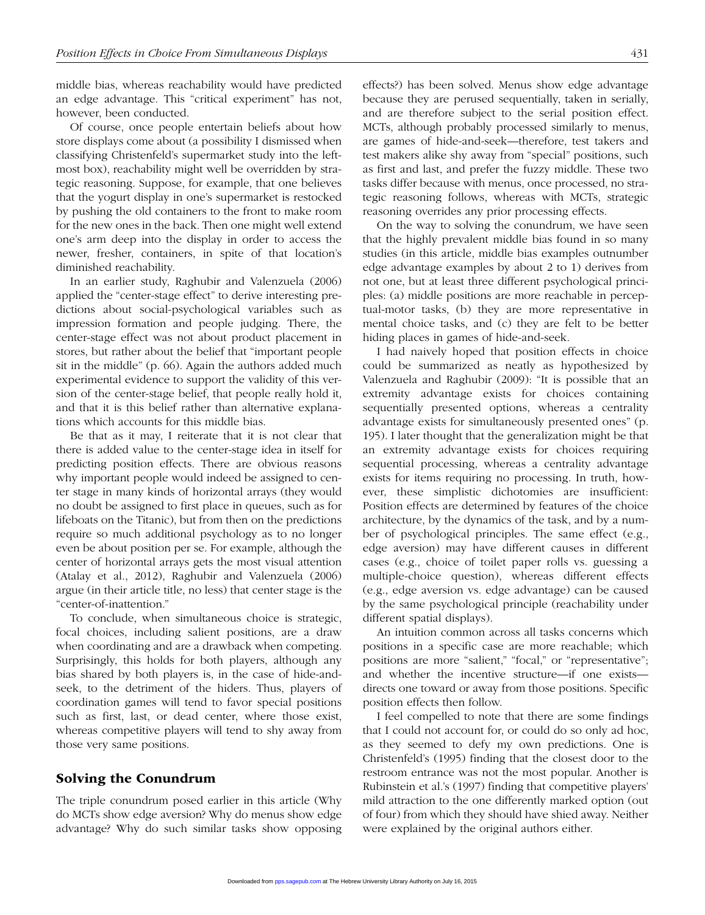middle bias, whereas reachability would have predicted an edge advantage. This "critical experiment" has not, however, been conducted.

Of course, once people entertain beliefs about how store displays come about (a possibility I dismissed when classifying Christenfeld's supermarket study into the leftmost box), reachability might well be overridden by strategic reasoning. Suppose, for example, that one believes that the yogurt display in one's supermarket is restocked by pushing the old containers to the front to make room for the new ones in the back. Then one might well extend one's arm deep into the display in order to access the newer, fresher, containers, in spite of that location's diminished reachability.

In an earlier study, Raghubir and Valenzuela (2006) applied the "center-stage effect" to derive interesting predictions about social-psychological variables such as impression formation and people judging. There, the center-stage effect was not about product placement in stores, but rather about the belief that "important people sit in the middle" (p. 66). Again the authors added much experimental evidence to support the validity of this version of the center-stage belief, that people really hold it, and that it is this belief rather than alternative explanations which accounts for this middle bias.

Be that as it may, I reiterate that it is not clear that there is added value to the center-stage idea in itself for predicting position effects. There are obvious reasons why important people would indeed be assigned to center stage in many kinds of horizontal arrays (they would no doubt be assigned to first place in queues, such as for lifeboats on the Titanic), but from then on the predictions require so much additional psychology as to no longer even be about position per se. For example, although the center of horizontal arrays gets the most visual attention (Atalay et al., 2012), Raghubir and Valenzuela (2006) argue (in their article title, no less) that center stage is the "center-of-inattention."

To conclude, when simultaneous choice is strategic, focal choices, including salient positions, are a draw when coordinating and are a drawback when competing. Surprisingly, this holds for both players, although any bias shared by both players is, in the case of hide-andseek, to the detriment of the hiders. Thus, players of coordination games will tend to favor special positions such as first, last, or dead center, where those exist, whereas competitive players will tend to shy away from those very same positions.

#### Solving the Conundrum

The triple conundrum posed earlier in this article (Why do MCTs show edge aversion? Why do menus show edge advantage? Why do such similar tasks show opposing effects?) has been solved. Menus show edge advantage because they are perused sequentially, taken in serially, and are therefore subject to the serial position effect. MCTs, although probably processed similarly to menus, are games of hide-and-seek—therefore, test takers and test makers alike shy away from "special" positions, such as first and last, and prefer the fuzzy middle. These two tasks differ because with menus, once processed, no strategic reasoning follows, whereas with MCTs, strategic reasoning overrides any prior processing effects.

On the way to solving the conundrum, we have seen that the highly prevalent middle bias found in so many studies (in this article, middle bias examples outnumber edge advantage examples by about 2 to 1) derives from not one, but at least three different psychological principles: (a) middle positions are more reachable in perceptual-motor tasks, (b) they are more representative in mental choice tasks, and (c) they are felt to be better hiding places in games of hide-and-seek.

I had naively hoped that position effects in choice could be summarized as neatly as hypothesized by Valenzuela and Raghubir (2009): "It is possible that an extremity advantage exists for choices containing sequentially presented options, whereas a centrality advantage exists for simultaneously presented ones" (p. 195). I later thought that the generalization might be that an extremity advantage exists for choices requiring sequential processing, whereas a centrality advantage exists for items requiring no processing. In truth, however, these simplistic dichotomies are insufficient: Position effects are determined by features of the choice architecture, by the dynamics of the task, and by a number of psychological principles. The same effect (e.g., edge aversion) may have different causes in different cases (e.g., choice of toilet paper rolls vs. guessing a multiple-choice question), whereas different effects (e.g., edge aversion vs. edge advantage) can be caused by the same psychological principle (reachability under different spatial displays).

An intuition common across all tasks concerns which positions in a specific case are more reachable; which positions are more "salient," "focal," or "representative"; and whether the incentive structure—if one exists directs one toward or away from those positions. Specific position effects then follow.

I feel compelled to note that there are some findings that I could not account for, or could do so only ad hoc, as they seemed to defy my own predictions. One is Christenfeld's (1995) finding that the closest door to the restroom entrance was not the most popular. Another is Rubinstein et al.'s (1997) finding that competitive players' mild attraction to the one differently marked option (out of four) from which they should have shied away. Neither were explained by the original authors either.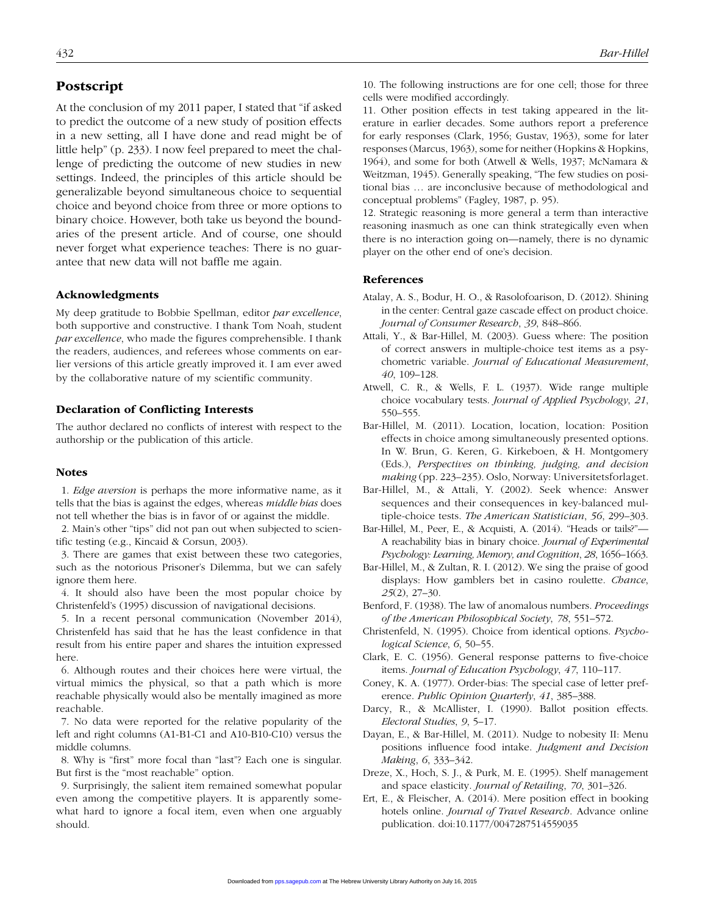At the conclusion of my 2011 paper, I stated that "if asked to predict the outcome of a new study of position effects in a new setting, all I have done and read might be of little help" (p. 233). I now feel prepared to meet the challenge of predicting the outcome of new studies in new settings. Indeed, the principles of this article should be generalizable beyond simultaneous choice to sequential choice and beyond choice from three or more options to binary choice. However, both take us beyond the boundaries of the present article. And of course, one should never forget what experience teaches: There is no guarantee that new data will not baffle me again.

#### Acknowledgments

My deep gratitude to Bobbie Spellman, editor *par excellence*, both supportive and constructive. I thank Tom Noah, student *par excellence*, who made the figures comprehensible. I thank the readers, audiences, and referees whose comments on earlier versions of this article greatly improved it. I am ever awed by the collaborative nature of my scientific community.

#### Declaration of Conflicting Interests

The author declared no conflicts of interest with respect to the authorship or the publication of this article.

#### **Notes**

1. *Edge aversion* is perhaps the more informative name, as it tells that the bias is against the edges, whereas *middle bias* does not tell whether the bias is in favor of or against the middle.

2. Main's other "tips" did not pan out when subjected to scientific testing (e.g., Kincaid & Corsun, 2003).

3. There are games that exist between these two categories, such as the notorious Prisoner's Dilemma, but we can safely ignore them here.

4. It should also have been the most popular choice by Christenfeld's (1995) discussion of navigational decisions.

5. In a recent personal communication (November 2014), Christenfeld has said that he has the least confidence in that result from his entire paper and shares the intuition expressed here.

6. Although routes and their choices here were virtual, the virtual mimics the physical, so that a path which is more reachable physically would also be mentally imagined as more reachable.

7. No data were reported for the relative popularity of the left and right columns (A1-B1-C1 and A10-B10-C10) versus the middle columns.

8. Why is "first" more focal than "last"? Each one is singular. But first is the "most reachable" option.

9. Surprisingly, the salient item remained somewhat popular even among the competitive players. It is apparently somewhat hard to ignore a focal item, even when one arguably should.

10. The following instructions are for one cell; those for three cells were modified accordingly.

11. Other position effects in test taking appeared in the literature in earlier decades. Some authors report a preference for early responses (Clark, 1956; Gustav, 1963), some for later responses (Marcus, 1963), some for neither (Hopkins & Hopkins, 1964), and some for both (Atwell & Wells, 1937; McNamara & Weitzman, 1945). Generally speaking, "The few studies on positional bias … are inconclusive because of methodological and conceptual problems" (Fagley, 1987, p. 95).

12. Strategic reasoning is more general a term than interactive reasoning inasmuch as one can think strategically even when there is no interaction going on—namely, there is no dynamic player on the other end of one's decision.

#### References

- Atalay, A. S., Bodur, H. O., & Rasolofoarison, D. (2012). Shining in the center: Central gaze cascade effect on product choice. *Journal of Consumer Research*, *39*, 848–866.
- Attali, Y., & Bar-Hillel, M. (2003). Guess where: The position of correct answers in multiple-choice test items as a psychometric variable. *Journal of Educational Measurement*, *40*, 109–128.
- Atwell, C. R., & Wells, F. L. (1937). Wide range multiple choice vocabulary tests. *Journal of Applied Psychology*, *21*, 550–555.
- Bar-Hillel, M. (2011). Location, location, location: Position effects in choice among simultaneously presented options. In W. Brun, G. Keren, G. Kirkeboen, & H. Montgomery (Eds.), *Perspectives on thinking, judging, and decision making* (pp. 223–235). Oslo, Norway: Universitetsforlaget.
- Bar-Hillel, M., & Attali, Y. (2002). Seek whence: Answer sequences and their consequences in key-balanced multiple-choice tests. *The American Statistician*, *56*, 299–303.
- Bar-Hillel, M., Peer, E., & Acquisti, A. (2014). "Heads or tails?"— A reachability bias in binary choice. *Journal of Experimental Psychology: Learning, Memory, and Cognition*, *28*, 1656–1663.
- Bar-Hillel, M., & Zultan, R. I. (2012). We sing the praise of good displays: How gamblers bet in casino roulette. *Chance*, *25*(2), 27–30.
- Benford, F. (1938). The law of anomalous numbers. *Proceedings of the American Philosophical Society*, *78*, 551–572.
- Christenfeld, N. (1995). Choice from identical options. *Psychological Science*, *6*, 50–55.
- Clark, E. C. (1956). General response patterns to five-choice items. *Journal of Education Psychology*, *47*, 110–117.
- Coney, K. A. (1977). Order-bias: The special case of letter preference. *Public Opinion Quarterly*, *41*, 385–388.
- Darcy, R., & McAllister, I. (1990). Ballot position effects. *Electoral Studies*, *9*, 5–17.
- Dayan, E., & Bar-Hillel, M. (2011). Nudge to nobesity II: Menu positions influence food intake. *Judgment and Decision Making*, *6*, 333–342.
- Dreze, X., Hoch, S. J., & Purk, M. E. (1995). Shelf management and space elasticity. *Journal of Retailing*, *70*, 301–326.
- Ert, E., & Fleischer, A. (2014). Mere position effect in booking hotels online. *Journal of Travel Research*. Advance online publication. doi:10.1177/0047287514559035